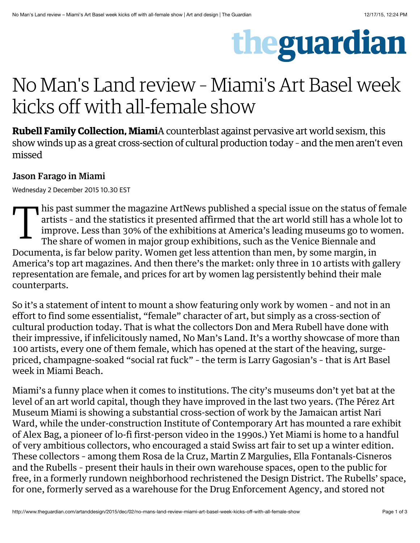## theguardian

## No Man's Land review – Miami's Art Basel week kicks off with all-female show

**Rubell Family Collection, Miami**A counterblast against pervasive art world sexism, this show winds up as a great cross-section of cultural production today – and the men aren't even missed

## Jason Farago in Miami

Wednesday 2 December 2015 10.30 EST

This past summer the magazine ArtNews published a special issue on the status of female artists - and the statistics it presented affirmed that the art world still has a whole lot to improve. Less than 30% of the exhibitio artists – and the statistics it presented affirmed that the art world still has a whole lot to improve. Less than 30% of the exhibitions at America's leading museums go to women. The share of women in major group exhibitions, such as the Venice Biennale and Documenta, is far below parity. Women get less attention than men, by some margin, in America's top art magazines. And then there's the market: only three in 10 artists with gallery representation are female, and prices for art by women lag persistently behind their male counterparts.

So it's a statement of intent to mount a show featuring only work by women – and not in an effort to find some essentialist, "female" character of art, but simply as a cross-section of cultural production today. That is what the collectors Don and Mera Rubell have done with their impressive, if infelicitously named, No Man's Land. It's a worthy showcase of more than 100 artists, every one of them female, which has opened at the start of the heaving, surgepriced, champagne-soaked "social rat fuck" – the term is Larry Gagosian's – that is Art Basel week in Miami Beach.

Miami's a funny place when it comes to institutions. The city's museums don't yet bat at the level of an art world capital, though they have improved in the last two years. (The Pérez Art Museum Miami is showing a substantial cross-section of work by the Jamaican artist Nari Ward, while the under-construction Institute of Contemporary Art has mounted a rare exhibit of Alex Bag, a pioneer of lo-fi first-person video in the 1990s.) Yet Miami is home to a handful of very ambitious collectors, who encouraged a staid Swiss art fair to set up a winter edition. These collectors – among them Rosa de la Cruz, Martin Z Margulies, Ella Fontanals-Cisneros and the Rubells – present their hauls in their own warehouse spaces, open to the public for free, in a formerly rundown neighborhood rechristened the Design District. The Rubells' space, for one, formerly served as a warehouse for the Drug Enforcement Agency, and stored not